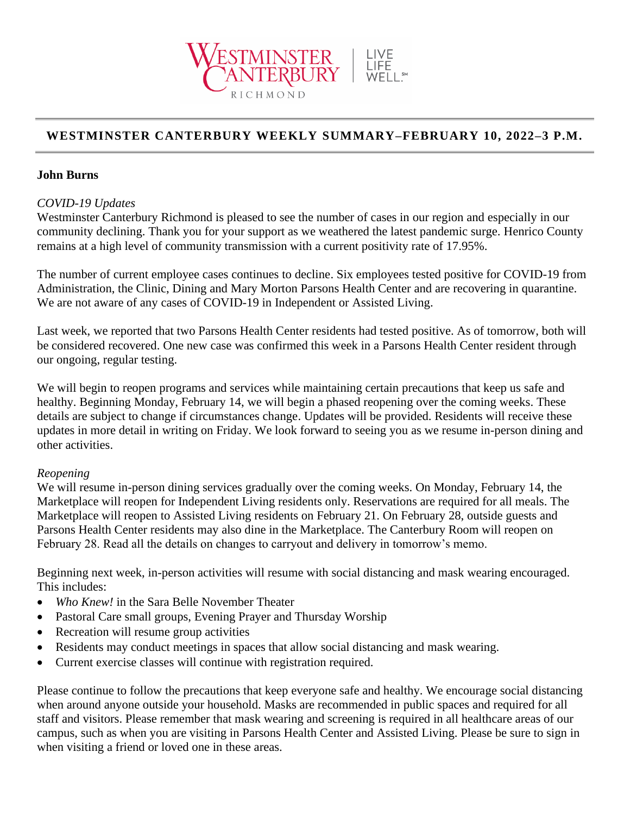

# **WESTMINSTER CANTERBURY WEEKLY SUMMARY–FEBRUARY 10, 2022–3 P.M.**

### **John Burns**

### *COVID-19 Updates*

Westminster Canterbury Richmond is pleased to see the number of cases in our region and especially in our community declining. Thank you for your support as we weathered the latest pandemic surge. Henrico County remains at a high level of community transmission with a current positivity rate of 17.95%.

The number of current employee cases continues to decline. Six employees tested positive for COVID-19 from Administration, the Clinic, Dining and Mary Morton Parsons Health Center and are recovering in quarantine. We are not aware of any cases of COVID-19 in Independent or Assisted Living.

Last week, we reported that two Parsons Health Center residents had tested positive. As of tomorrow, both will be considered recovered. One new case was confirmed this week in a Parsons Health Center resident through our ongoing, regular testing.

We will begin to reopen programs and services while maintaining certain precautions that keep us safe and healthy. Beginning Monday, February 14, we will begin a phased reopening over the coming weeks. These details are subject to change if circumstances change. Updates will be provided. Residents will receive these updates in more detail in writing on Friday. We look forward to seeing you as we resume in-person dining and other activities.

#### *Reopening*

We will resume in-person dining services gradually over the coming weeks. On Monday, February 14, the Marketplace will reopen for Independent Living residents only. Reservations are required for all meals. The Marketplace will reopen to Assisted Living residents on February 21. On February 28, outside guests and Parsons Health Center residents may also dine in the Marketplace. The Canterbury Room will reopen on February 28. Read all the details on changes to carryout and delivery in tomorrow's memo.

Beginning next week, in-person activities will resume with social distancing and mask wearing encouraged. This includes:

- *Who Knew!* in the Sara Belle November Theater
- Pastoral Care small groups, Evening Prayer and Thursday Worship
- Recreation will resume group activities
- Residents may conduct meetings in spaces that allow social distancing and mask wearing.
- Current exercise classes will continue with registration required.

Please continue to follow the precautions that keep everyone safe and healthy. We encourage social distancing when around anyone outside your household. Masks are recommended in public spaces and required for all staff and visitors. Please remember that mask wearing and screening is required in all healthcare areas of our campus, such as when you are visiting in Parsons Health Center and Assisted Living. Please be sure to sign in when visiting a friend or loved one in these areas.